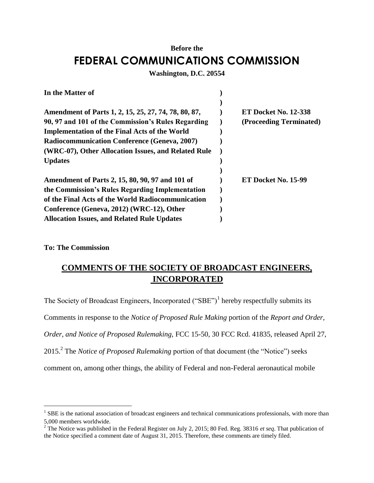# **Before the FEDERAL COMMUNICATIONS COMMISSION**

#### **Washington, D.C. 20554**

| In the Matter of                                     |                             |
|------------------------------------------------------|-----------------------------|
|                                                      |                             |
| Amendment of Parts 1, 2, 15, 25, 27, 74, 78, 80, 87, | <b>ET Docket No. 12-338</b> |
| 90, 97 and 101 of the Commission's Rules Regarding   | (Proceeding Terminated)     |
| <b>Implementation of the Final Acts of the World</b> |                             |
| <b>Radiocommunication Conference (Geneva, 2007)</b>  |                             |
| (WRC-07), Other Allocation Issues, and Related Rule  |                             |
| <b>Updates</b>                                       |                             |
|                                                      |                             |
| Amendment of Parts 2, 15, 80, 90, 97 and 101 of      | ET Docket No. 15-99         |
| the Commission's Rules Regarding Implementation      |                             |
| of the Final Acts of the World Radiocommunication    |                             |
| Conference (Geneva, 2012) (WRC-12), Other            |                             |
| <b>Allocation Issues, and Related Rule Updates</b>   |                             |

### **To: The Commission**

 $\overline{\phantom{a}}$ 

## **COMMENTS OF THE SOCIETY OF BROADCAST ENGINEERS, INCORPORATED**

The Society of Broadcast Engineers, Incorporated ("SBE")<sup>1</sup> hereby respectfully submits its Comments in response to the *Notice of Proposed Rule Making* portion of the *Report and Order, Order, and Notice of Proposed Rulemaking,* FCC 15-50, 30 FCC Rcd. 41835, released April 27, 2015.<sup>2</sup> The *Notice of Proposed Rulemaking* portion of that document (the "Notice") seeks comment on, among other things, the ability of Federal and non-Federal aeronautical mobile

 $1$  SBE is the national association of broadcast engineers and technical communications professionals, with more than 5,000 members worldwide.

<sup>2</sup> The Notice was published in the Federal Register on July 2, 2015; 80 Fed. Reg. 38316 *et seq*. That publication of the Notice specified a comment date of August 31, 2015. Therefore, these comments are timely filed.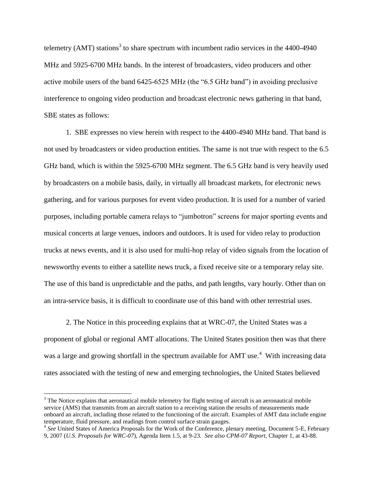telemetry (AMT) stations<sup>3</sup> to share spectrum with incumbent radio services in the  $4400-4940$ MHz and 5925-6700 MHz bands. In the interest of broadcasters, video producers and other active mobile users of the band 6425-6525 MHz (the "6.5 GHz band") in avoiding preclusive interference to ongoing video production and broadcast electronic news gathering in that band, SBE states as follows:

1. SBE expresses no view herein with respect to the 4400-4940 MHz band. That band is not used by broadcasters or video production entities. The same is not true with respect to the 6.5 GHz band, which is within the 5925-6700 MHz segment. The 6.5 GHz band is very heavily used by broadcasters on a mobile basis, daily, in virtually all broadcast markets, for electronic news gathering, and for various purposes for event video production. It is used for a number of varied purposes, including portable camera relays to "jumbotron" screens for major sporting events and musical concerts at large venues, indoors and outdoors. It is used for video relay to production trucks at news events, and it is also used for multi-hop relay of video signals from the location of newsworthy events to either a satellite news truck, a fixed receive site or a temporary relay site. The use of this band is unpredictable and the paths, and path lengths, vary hourly. Other than on an intra-service basis, it is difficult to coordinate use of this band with other terrestrial uses.

2. The Notice in this proceeding explains that at WRC-07, the United States was a proponent of global or regional AMT allocations. The United States position then was that there was a large and growing shortfall in the spectrum available for AMT use.<sup>4</sup> With increasing data rates associated with the testing of new and emerging technologies, the United States believed

l

<sup>&</sup>lt;sup>3</sup> The Notice explains that aeronautical mobile telemetry for flight testing of aircraft is an aeronautical mobile service (AMS) that transmits from an aircraft station to a receiving station the results of measurements made onboard an aircraft, including those related to the functioning of the aircraft. Examples of AMT data include engine temperature, fluid pressure, and readings from control surface strain gauges.

<sup>&</sup>lt;sup>4</sup> See United States of America Proposals for the Work of the Conference, plenary meeting, Document 5-E, February 9, 2007 (*U.S. Proposals for WRC-07*), Agenda Item 1.5, at 9-23. *See also CPM-07 Report*, Chapter 1, at 43-88.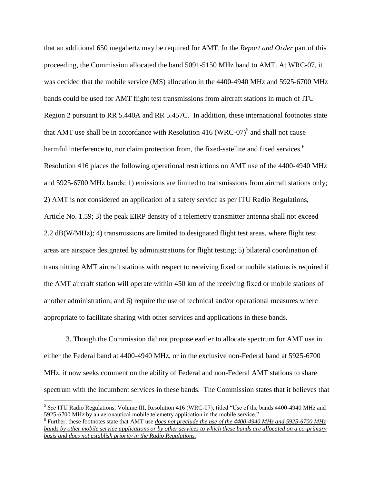that an additional 650 megahertz may be required for AMT. In the *Report and Order* part of this proceeding, the Commission allocated the band 5091-5150 MHz band to AMT. At WRC-07, it was decided that the mobile service (MS) allocation in the 4400-4940 MHz and 5925-6700 MHz bands could be used for AMT flight test transmissions from aircraft stations in much of ITU Region 2 pursuant to RR 5.440A and RR 5.457C. In addition, these international footnotes state that AMT use shall be in accordance with Resolution  $416$  (WRC-07)<sup>5</sup> and shall not cause harmful interference to, nor claim protection from, the fixed-satellite and fixed services.<sup>6</sup> Resolution 416 places the following operational restrictions on AMT use of the 4400-4940 MHz and 5925-6700 MHz bands: 1) emissions are limited to transmissions from aircraft stations only; 2) AMT is not considered an application of a safety service as per ITU Radio Regulations, Article No. 1.59; 3) the peak EIRP density of a telemetry transmitter antenna shall not exceed – 2.2 dB(W/MHz); 4) transmissions are limited to designated flight test areas, where flight test areas are airspace designated by administrations for flight testing; 5) bilateral coordination of transmitting AMT aircraft stations with respect to receiving fixed or mobile stations is required if the AMT aircraft station will operate within 450 km of the receiving fixed or mobile stations of another administration; and 6) require the use of technical and/or operational measures where appropriate to facilitate sharing with other services and applications in these bands.

3. Though the Commission did not propose earlier to allocate spectrum for AMT use in either the Federal band at 4400-4940 MHz, or in the exclusive non-Federal band at 5925-6700 MHz, it now seeks comment on the ability of Federal and non-Federal AMT stations to share spectrum with the incumbent services in these bands. The Commission states that it believes that

 $\overline{a}$ 

<sup>5</sup> *See* ITU Radio Regulations, Volume III, Resolution 416 (WRC-07), titled "Use of the bands 4400-4940 MHz and 5925-6700 MHz by an aeronautical mobile telemetry application in the mobile service."

<sup>&</sup>lt;sup>6</sup> Further, these footnotes state that AMT use *does not preclude the use of the 4400-4940 MHz and 5925-6700 MHz bands by other mobile service applications or by other services to which these bands are allocated on a co-primary basis and does not establish priority in the Radio Regulations.*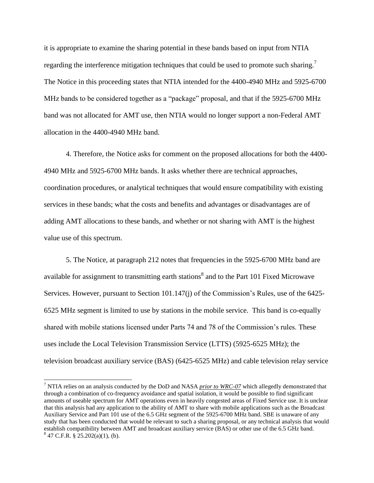it is appropriate to examine the sharing potential in these bands based on input from NTIA regarding the interference mitigation techniques that could be used to promote such sharing.<sup>7</sup> The Notice in this proceeding states that NTIA intended for the 4400-4940 MHz and 5925-6700 MHz bands to be considered together as a "package" proposal, and that if the 5925-6700 MHz band was not allocated for AMT use, then NTIA would no longer support a non-Federal AMT allocation in the 4400-4940 MHz band.

4. Therefore, the Notice asks for comment on the proposed allocations for both the 4400- 4940 MHz and 5925-6700 MHz bands. It asks whether there are technical approaches, coordination procedures, or analytical techniques that would ensure compatibility with existing services in these bands; what the costs and benefits and advantages or disadvantages are of adding AMT allocations to these bands, and whether or not sharing with AMT is the highest value use of this spectrum.

5. The Notice, at paragraph 212 notes that frequencies in the 5925-6700 MHz band are available for assignment to transmitting earth stations $^8$  and to the Part 101 Fixed Microwave Services. However, pursuant to Section 101.147(j) of the Commission's Rules, use of the 6425- 6525 MHz segment is limited to use by stations in the mobile service. This band is co-equally shared with mobile stations licensed under Parts 74 and 78 of the Commission's rules. These uses include the Local Television Transmission Service (LTTS) (5925-6525 MHz); the television broadcast auxiliary service (BAS) (6425-6525 MHz) and cable television relay service

 $\overline{a}$ 

<sup>7</sup> NTIA relies on an analysis conducted by the DoD and NASA *prior to WRC-07* which allegedly demonstrated that through a combination of co-frequency avoidance and spatial isolation, it would be possible to find significant amounts of useable spectrum for AMT operations even in heavily congested areas of Fixed Service use. It is unclear that this analysis had any application to the ability of AMT to share with mobile applications such as the Broadcast Auxiliary Service and Part 101 use of the 6.5 GHz segment of the 5925-6700 MHz band. SBE is unaware of any study that has been conducted that would be relevant to such a sharing proposal, or any technical analysis that would establish compatibility between AMT and broadcast auxiliary service (BAS) or other use of the 6.5 GHz band.  $8^8$  47 C.F.R. § 25.202(a)(1), (b).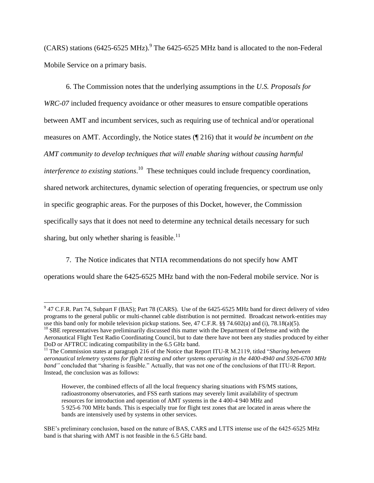(CARS) stations (6425-6525 MHz). 9 The 6425-6525 MHz band is allocated to the non-Federal Mobile Service on a primary basis.

6. The Commission notes that the underlying assumptions in the *U.S. Proposals for WRC-07* included frequency avoidance or other measures to ensure compatible operations between AMT and incumbent services, such as requiring use of technical and/or operational measures on AMT. Accordingly, the Notice states (¶ 216) that it *would be incumbent on the AMT community to develop techniques that will enable sharing without causing harmful interference to existing stations*. 10 These techniques could include frequency coordination, shared network architectures, dynamic selection of operating frequencies, or spectrum use only in specific geographic areas. For the purposes of this Docket, however, the Commission specifically says that it does not need to determine any technical details necessary for such sharing, but only whether sharing is feasible.<sup>11</sup>

7. The Notice indicates that NTIA recommendations do not specify how AMT operations would share the 6425-6525 MHz band with the non-Federal mobile service. Nor is

 $\overline{\phantom{a}}$ 

 $9$  47 C.F.R. Part 74, Subpart F (BAS); Part 78 (CARS). Use of the 6425-6525 MHz band for direct delivery of video programs to the general public or multi-channel cable distribution is not permitted. Broadcast network-entities may use this band only for mobile television pickup stations. See, 47 C.F.R. §§ 74.602(a) and (i), 78.18(a)(5). <sup>10</sup> SBE representatives have preliminarily discussed this matter with the Department of Defense and with the Aeronautical Flight Test Radio Coordinating Council, but to date there have not been any studies produced by either DoD or AFTRCC indicating compatibility in the 6.5 GHz band.

<sup>&</sup>lt;sup>11</sup> The Commission states at paragraph 216 of the Notice that Report ITU-R M.2119, titled "*Sharing between aeronautical telemetry systems for flight testing and other systems operating in the 4400-4940 and 5926-6700 MHz band"* concluded that "sharing is feasible." Actually, that was not one of the conclusions of that ITU-R Report. Instead, the conclusion was as follows:

However, the combined effects of all the local frequency sharing situations with FS/MS stations, radioastronomy observatories, and FSS earth stations may severely limit availability of spectrum resources for introduction and operation of AMT systems in the 4 400-4 940 MHz and 5 925-6 700 MHz bands. This is especially true for flight test zones that are located in areas where the bands are intensively used by systems in other services.

SBE's preliminary conclusion, based on the nature of BAS, CARS and LTTS intense use of the 6425-6525 MHz band is that sharing with AMT is not feasible in the 6.5 GHz band.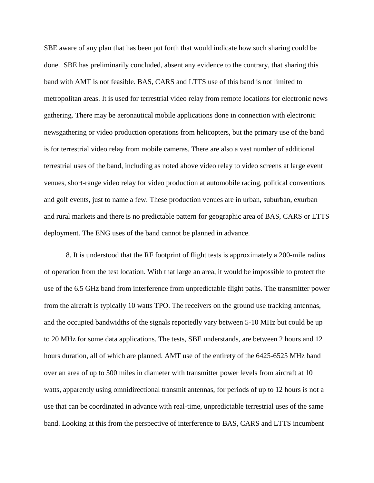SBE aware of any plan that has been put forth that would indicate how such sharing could be done. SBE has preliminarily concluded, absent any evidence to the contrary, that sharing this band with AMT is not feasible. BAS, CARS and LTTS use of this band is not limited to metropolitan areas. It is used for terrestrial video relay from remote locations for electronic news gathering. There may be aeronautical mobile applications done in connection with electronic newsgathering or video production operations from helicopters, but the primary use of the band is for terrestrial video relay from mobile cameras. There are also a vast number of additional terrestrial uses of the band, including as noted above video relay to video screens at large event venues, short-range video relay for video production at automobile racing, political conventions and golf events, just to name a few. These production venues are in urban, suburban, exurban and rural markets and there is no predictable pattern for geographic area of BAS, CARS or LTTS deployment. The ENG uses of the band cannot be planned in advance.

8. It is understood that the RF footprint of flight tests is approximately a 200-mile radius of operation from the test location. With that large an area, it would be impossible to protect the use of the 6.5 GHz band from interference from unpredictable flight paths. The transmitter power from the aircraft is typically 10 watts TPO. The receivers on the ground use tracking antennas, and the occupied bandwidths of the signals reportedly vary between 5-10 MHz but could be up to 20 MHz for some data applications. The tests, SBE understands, are between 2 hours and 12 hours duration, all of which are planned. AMT use of the entirety of the 6425-6525 MHz band over an area of up to 500 miles in diameter with transmitter power levels from aircraft at 10 watts, apparently using omnidirectional transmit antennas, for periods of up to 12 hours is not a use that can be coordinated in advance with real-time, unpredictable terrestrial uses of the same band. Looking at this from the perspective of interference to BAS, CARS and LTTS incumbent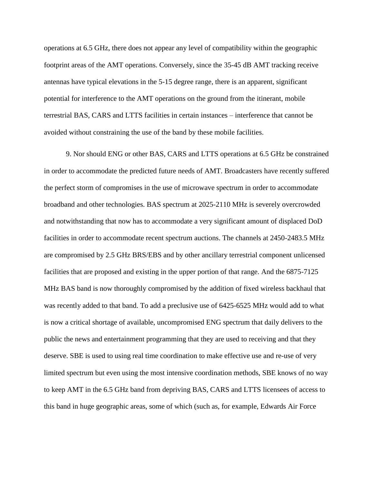operations at 6.5 GHz, there does not appear any level of compatibility within the geographic footprint areas of the AMT operations. Conversely, since the 35-45 dB AMT tracking receive antennas have typical elevations in the 5-15 degree range, there is an apparent, significant potential for interference to the AMT operations on the ground from the itinerant, mobile terrestrial BAS, CARS and LTTS facilities in certain instances – interference that cannot be avoided without constraining the use of the band by these mobile facilities.

9. Nor should ENG or other BAS, CARS and LTTS operations at 6.5 GHz be constrained in order to accommodate the predicted future needs of AMT. Broadcasters have recently suffered the perfect storm of compromises in the use of microwave spectrum in order to accommodate broadband and other technologies. BAS spectrum at 2025-2110 MHz is severely overcrowded and notwithstanding that now has to accommodate a very significant amount of displaced DoD facilities in order to accommodate recent spectrum auctions. The channels at 2450-2483.5 MHz are compromised by 2.5 GHz BRS/EBS and by other ancillary terrestrial component unlicensed facilities that are proposed and existing in the upper portion of that range. And the 6875-7125 MHz BAS band is now thoroughly compromised by the addition of fixed wireless backhaul that was recently added to that band. To add a preclusive use of 6425-6525 MHz would add to what is now a critical shortage of available, uncompromised ENG spectrum that daily delivers to the public the news and entertainment programming that they are used to receiving and that they deserve. SBE is used to using real time coordination to make effective use and re-use of very limited spectrum but even using the most intensive coordination methods, SBE knows of no way to keep AMT in the 6.5 GHz band from depriving BAS, CARS and LTTS licensees of access to this band in huge geographic areas, some of which (such as, for example, Edwards Air Force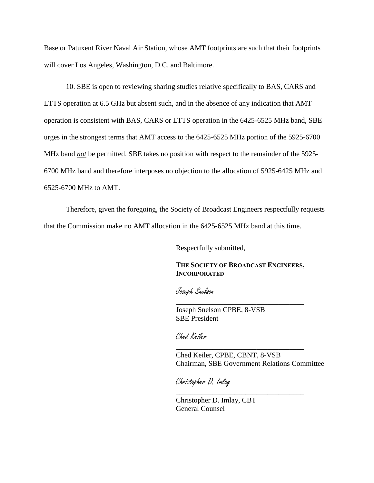Base or Patuxent River Naval Air Station, whose AMT footprints are such that their footprints will cover Los Angeles, Washington, D.C. and Baltimore.

10. SBE is open to reviewing sharing studies relative specifically to BAS, CARS and LTTS operation at 6.5 GHz but absent such, and in the absence of any indication that AMT operation is consistent with BAS, CARS or LTTS operation in the 6425-6525 MHz band, SBE urges in the strongest terms that AMT access to the 6425-6525 MHz portion of the 5925-6700 MHz band *not* be permitted. SBE takes no position with respect to the remainder of the 5925- 6700 MHz band and therefore interposes no objection to the allocation of 5925-6425 MHz and 6525-6700 MHz to AMT.

Therefore, given the foregoing, the Society of Broadcast Engineers respectfully requests that the Commission make no AMT allocation in the 6425-6525 MHz band at this time.

Respectfully submitted,

### **THE SOCIETY OF BROADCAST ENGINEERS, INCORPORATED**

\_\_\_\_\_\_\_\_\_\_\_\_\_\_\_\_\_\_\_\_\_\_\_\_\_\_\_\_\_\_\_\_\_\_\_

\_\_\_\_\_\_\_\_\_\_\_\_\_\_\_\_\_\_\_\_\_\_\_\_\_\_\_\_\_\_\_\_\_\_\_

\_\_\_\_\_\_\_\_\_\_\_\_\_\_\_\_\_\_\_\_\_\_\_\_\_\_\_\_\_\_\_\_\_\_\_

Joseph Snelson

Joseph Snelson CPBE, 8-VSB SBE President

Ched Keiler

Ched Keiler, CPBE, CBNT, 8-VSB Chairman, SBE Government Relations Committee

Christopher D. Imlay

Christopher D. Imlay, CBT General Counsel